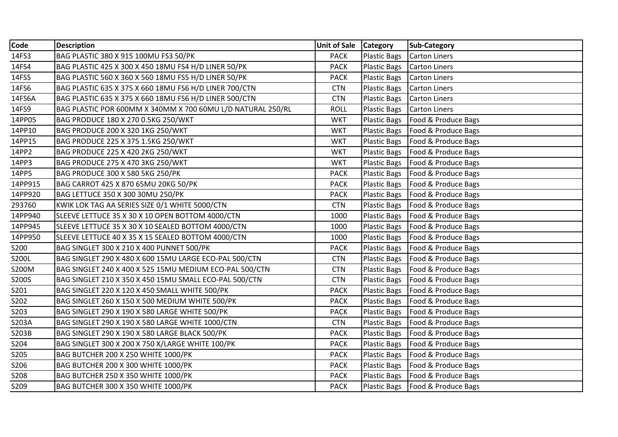| Code    | <b>Description</b>                                          | <b>Unit of Sale</b> | <b>Category</b>     | Sub-Category                       |
|---------|-------------------------------------------------------------|---------------------|---------------------|------------------------------------|
| 14FS3   | BAG PLASTIC 380 X 915 100MU FS3 50/PK                       | <b>PACK</b>         | <b>Plastic Bags</b> | Carton Liners                      |
| 14FS4   | BAG PLASTIC 425 X 300 X 450 18MU FS4 H/D LINER 50/PK        | <b>PACK</b>         | <b>Plastic Bags</b> | Carton Liners                      |
| 14FS5   | BAG PLASTIC 560 X 360 X 560 18MU FS5 H/D LINER 50/PK        | <b>PACK</b>         | <b>Plastic Bags</b> | Carton Liners                      |
| 14FS6   | BAG PLASTIC 635 X 375 X 660 18MU FS6 H/D LINER 700/CTN      | <b>CTN</b>          | <b>Plastic Bags</b> | Carton Liners                      |
| 14FS6A  | BAG PLASTIC 635 X 375 X 660 18MU FS6 H/D LINER 500/CTN      | <b>CTN</b>          | <b>Plastic Bags</b> | Carton Liners                      |
| 14FS9   | BAG PLASTIC POR 600MM X 340MM X 700 60MU L/D NATURAL 250/RL | <b>ROLL</b>         | <b>Plastic Bags</b> | Carton Liners                      |
| 14PP05  | BAG PRODUCE 180 X 270 0.5KG 250/WKT                         | <b>WKT</b>          | <b>Plastic Bags</b> | Food & Produce Bags                |
| 14PP10  | BAG PRODUCE 200 X 320 1KG 250/WKT                           | <b>WKT</b>          | <b>Plastic Bags</b> | Food & Produce Bags                |
| 14PP15  | BAG PRODUCE 225 X 375 1.5KG 250/WKT                         | <b>WKT</b>          | <b>Plastic Bags</b> | Food & Produce Bags                |
| 14PP2   | <b>BAG PRODUCE 225 X 420 2KG 250/WKT</b>                    | <b>WKT</b>          | <b>Plastic Bags</b> | Food & Produce Bags                |
| 14PP3   | BAG PRODUCE 275 X 470 3KG 250/WKT                           | <b>WKT</b>          | <b>Plastic Bags</b> | Food & Produce Bags                |
| 14PP5   | BAG PRODUCE 300 X 580 5KG 250/PK                            | <b>PACK</b>         | <b>Plastic Bags</b> | Food & Produce Bags                |
| 14PP915 | BAG CARROT 425 X 870 65MU 20KG 50/PK                        | <b>PACK</b>         | <b>Plastic Bags</b> | Food & Produce Bags                |
| 14PP920 | BAG LETTUCE 350 X 300 30MU 250/PK                           | <b>PACK</b>         | <b>Plastic Bags</b> | Food & Produce Bags                |
| 293760  | KWIK LOK TAG AA SERIES SIZE 0/1 WHITE 5000/CTN              | <b>CTN</b>          | <b>Plastic Bags</b> | Food & Produce Bags                |
| 14PP940 | SLEEVE LETTUCE 35 X 30 X 10 OPEN BOTTOM 4000/CTN            | 1000                | <b>Plastic Bags</b> | Food & Produce Bags                |
| 14PP945 | SLEEVE LETTUCE 35 X 30 X 10 SEALED BOTTOM 4000/CTN          | 1000                | <b>Plastic Bags</b> | Food & Produce Bags                |
| 14PP950 | SLEEVE LETTUCE 40 X 35 X 15 SEALED BOTTOM 4000/CTN          | 1000                | <b>Plastic Bags</b> | Food & Produce Bags                |
| S200    | BAG SINGLET 300 X 210 X 400 PUNNET 500/PK                   | <b>PACK</b>         | <b>Plastic Bags</b> | Food & Produce Bags                |
| S200L   | BAG SINGLET 290 X 480 X 600 15MU LARGE ECO-PAL 500/CTN      | <b>CTN</b>          | <b>Plastic Bags</b> | Food & Produce Bags                |
| S200M   | BAG SINGLET 240 X 400 X 525 15MU MEDIUM ECO-PAL 500/CTN     | <b>CTN</b>          | <b>Plastic Bags</b> | Food & Produce Bags                |
| S200S   | BAG SINGLET 210 X 350 X 450 15MU SMALL ECO-PAL 500/CTN      | <b>CTN</b>          | <b>Plastic Bags</b> | Food & Produce Bags                |
| S201    | BAG SINGLET 220 X 120 X 450 SMALL WHITE 500/PK              | <b>PACK</b>         | <b>Plastic Bags</b> | Food & Produce Bags                |
| S202    | BAG SINGLET 260 X 150 X 500 MEDIUM WHITE 500/PK             | <b>PACK</b>         | <b>Plastic Bags</b> | Food & Produce Bags                |
| S203    | BAG SINGLET 290 X 190 X 580 LARGE WHITE 500/PK              | <b>PACK</b>         | <b>Plastic Bags</b> | Food & Produce Bags                |
| S203A   | BAG SINGLET 290 X 190 X 580 LARGE WHITE 1000/CTN            | <b>CTN</b>          | <b>Plastic Bags</b> | Food & Produce Bags                |
| S203B   | BAG SINGLET 290 X 190 X 580 LARGE BLACK 500/PK              | <b>PACK</b>         | <b>Plastic Bags</b> | Food & Produce Bags                |
| S204    | BAG SINGLET 300 X 200 X 750 X/LARGE WHITE 100/PK            | <b>PACK</b>         | <b>Plastic Bags</b> | Food & Produce Bags                |
| S205    | BAG BUTCHER 200 X 250 WHITE 1000/PK                         | <b>PACK</b>         | <b>Plastic Bags</b> | Food & Produce Bags                |
| S206    | BAG BUTCHER 200 X 300 WHITE 1000/PK                         | <b>PACK</b>         | <b>Plastic Bags</b> | Food & Produce Bags                |
| S208    | BAG BUTCHER 250 X 350 WHITE 1000/PK                         | <b>PACK</b>         | <b>Plastic Bags</b> | Food & Produce Bags                |
| S209    | BAG BUTCHER 300 X 350 WHITE 1000/PK                         | <b>PACK</b>         |                     | Plastic Bags   Food & Produce Bags |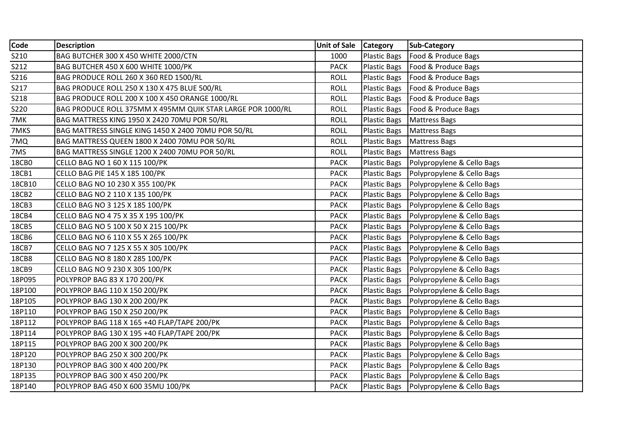| Code        | <b>Description</b>                                         | <b>Unit of Sale</b> | <b>Category</b>     | Sub-Category                              |
|-------------|------------------------------------------------------------|---------------------|---------------------|-------------------------------------------|
| S210        | BAG BUTCHER 300 X 450 WHITE 2000/CTN                       | 1000                | <b>Plastic Bags</b> | Food & Produce Bags                       |
| S212        | BAG BUTCHER 450 X 600 WHITE 1000/PK                        | <b>PACK</b>         | <b>Plastic Bags</b> | Food & Produce Bags                       |
| S216        | BAG PRODUCE ROLL 260 X 360 RED 1500/RL                     | <b>ROLL</b>         | <b>Plastic Bags</b> | Food & Produce Bags                       |
| S217        | BAG PRODUCE ROLL 250 X 130 X 475 BLUE 500/RL               | <b>ROLL</b>         | <b>Plastic Bags</b> | Food & Produce Bags                       |
| <b>S218</b> | BAG PRODUCE ROLL 200 X 100 X 450 ORANGE 1000/RL            | <b>ROLL</b>         | <b>Plastic Bags</b> | Food & Produce Bags                       |
| S220        | BAG PRODUCE ROLL 375MM X 495MM QUIK STAR LARGE POR 1000/RL | <b>ROLL</b>         | <b>Plastic Bags</b> | Food & Produce Bags                       |
| 7MK         | BAG MATTRESS KING 1950 X 2420 70MU POR 50/RL               | <b>ROLL</b>         | <b>Plastic Bags</b> | Mattress Bags                             |
| 7MKS        | BAG MATTRESS SINGLE KING 1450 X 2400 70MU POR 50/RL        | <b>ROLL</b>         | <b>Plastic Bags</b> | Mattress Bags                             |
| 7MQ         | BAG MATTRESS QUEEN 1800 X 2400 70MU POR 50/RL              | <b>ROLL</b>         | <b>Plastic Bags</b> | Mattress Bags                             |
| 7MS         | BAG MATTRESS SINGLE 1200 X 2400 70MU POR 50/RL             | <b>ROLL</b>         | <b>Plastic Bags</b> | Mattress Bags                             |
| 18CB0       | CELLO BAG NO 1 60 X 115 100/PK                             | <b>PACK</b>         | <b>Plastic Bags</b> | Polypropylene & Cello Bags                |
| 18CB1       | CELLO BAG PIE 145 X 185 100/PK                             | <b>PACK</b>         | Plastic Bags        | Polypropylene & Cello Bags                |
| 18CB10      | CELLO BAG NO 10 230 X 355 100/PK                           | <b>PACK</b>         | <b>Plastic Bags</b> | Polypropylene & Cello Bags                |
| 18CB2       | CELLO BAG NO 2 110 X 135 100/PK                            | <b>PACK</b>         | <b>Plastic Bags</b> | Polypropylene & Cello Bags                |
| 18CB3       | CELLO BAG NO 3 125 X 185 100/PK                            | <b>PACK</b>         | <b>Plastic Bags</b> | Polypropylene & Cello Bags                |
| 18CB4       | CELLO BAG NO 4 75 X 35 X 195 100/PK                        | <b>PACK</b>         | <b>Plastic Bags</b> | Polypropylene & Cello Bags                |
| 18CB5       | CELLO BAG NO 5 100 X 50 X 215 100/PK                       | <b>PACK</b>         | <b>Plastic Bags</b> | Polypropylene & Cello Bags                |
| 18CB6       | CELLO BAG NO 6 110 X 55 X 265 100/PK                       | <b>PACK</b>         | <b>Plastic Bags</b> | Polypropylene & Cello Bags                |
| 18CB7       | CELLO BAG NO 7 125 X 55 X 305 100/PK                       | <b>PACK</b>         | <b>Plastic Bags</b> | Polypropylene & Cello Bags                |
| 18CB8       | CELLO BAG NO 8 180 X 285 100/PK                            | <b>PACK</b>         | <b>Plastic Bags</b> | Polypropylene & Cello Bags                |
| 18CB9       | CELLO BAG NO 9 230 X 305 100/PK                            | <b>PACK</b>         | <b>Plastic Bags</b> | Polypropylene & Cello Bags                |
| 18P095      | POLYPROP BAG 83 X 170 200/PK                               | <b>PACK</b>         | <b>Plastic Bags</b> | Polypropylene & Cello Bags                |
| 18P100      | POLYPROP BAG 110 X 150 200/PK                              | <b>PACK</b>         | <b>Plastic Bags</b> | Polypropylene & Cello Bags                |
| 18P105      | POLYPROP BAG 130 X 200 200/PK                              | <b>PACK</b>         | <b>Plastic Bags</b> | Polypropylene & Cello Bags                |
| 18P110      | POLYPROP BAG 150 X 250 200/PK                              | <b>PACK</b>         | <b>Plastic Bags</b> | Polypropylene & Cello Bags                |
| 18P112      | POLYPROP BAG 118 X 165 +40 FLAP/TAPE 200/PK                | <b>PACK</b>         | <b>Plastic Bags</b> | Polypropylene & Cello Bags                |
| 18P114      | POLYPROP BAG 130 X 195 +40 FLAP/TAPE 200/PK                | <b>PACK</b>         | <b>Plastic Bags</b> | Polypropylene & Cello Bags                |
| 18P115      | POLYPROP BAG 200 X 300 200/PK                              | <b>PACK</b>         | <b>Plastic Bags</b> | Polypropylene & Cello Bags                |
| 18P120      | POLYPROP BAG 250 X 300 200/PK                              | <b>PACK</b>         | <b>Plastic Bags</b> | Polypropylene & Cello Bags                |
| 18P130      | POLYPROP BAG 300 X 400 200/PK                              | <b>PACK</b>         | <b>Plastic Bags</b> | Polypropylene & Cello Bags                |
| 18P135      | POLYPROP BAG 300 X 450 200/PK                              | <b>PACK</b>         | Plastic Bags        | Polypropylene & Cello Bags                |
| 18P140      | POLYPROP BAG 450 X 600 35MU 100/PK                         | <b>PACK</b>         |                     | Plastic Bags   Polypropylene & Cello Bags |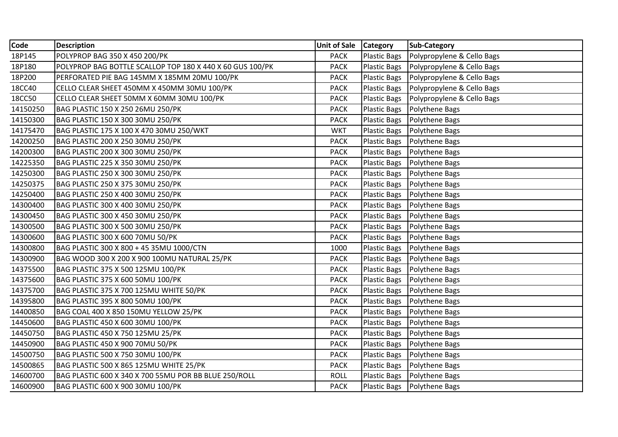| Code     | <b>Description</b>                                        | Unit of Sale   Category |                     | <b>Sub-Category</b>        |
|----------|-----------------------------------------------------------|-------------------------|---------------------|----------------------------|
| 18P145   | POLYPROP BAG 350 X 450 200/PK                             | <b>PACK</b>             | <b>Plastic Bags</b> | Polypropylene & Cello Bags |
| 18P180   | POLYPROP BAG BOTTLE SCALLOP TOP 180 X 440 X 60 GUS 100/PK | <b>PACK</b>             | <b>Plastic Bags</b> | Polypropylene & Cello Bags |
| 18P200   | PERFORATED PIE BAG 145MM X 185MM 20MU 100/PK              | <b>PACK</b>             | <b>Plastic Bags</b> | Polypropylene & Cello Bags |
| 18CC40   | CELLO CLEAR SHEET 450MM X 450MM 30MU 100/PK               | <b>PACK</b>             | <b>Plastic Bags</b> | Polypropylene & Cello Bags |
| 18CC50   | CELLO CLEAR SHEET 50MM X 60MM 30MU 100/PK                 | <b>PACK</b>             | <b>Plastic Bags</b> | Polypropylene & Cello Bags |
| 14150250 | BAG PLASTIC 150 X 250 26MU 250/PK                         | <b>PACK</b>             | <b>Plastic Bags</b> | Polythene Bags             |
| 14150300 | BAG PLASTIC 150 X 300 30MU 250/PK                         | <b>PACK</b>             | <b>Plastic Bags</b> | Polythene Bags             |
| 14175470 | BAG PLASTIC 175 X 100 X 470 30MU 250/WKT                  | <b>WKT</b>              | <b>Plastic Bags</b> | Polythene Bags             |
| 14200250 | BAG PLASTIC 200 X 250 30MU 250/PK                         | <b>PACK</b>             | <b>Plastic Bags</b> | Polythene Bags             |
| 14200300 | BAG PLASTIC 200 X 300 30MU 250/PK                         | <b>PACK</b>             | <b>Plastic Bags</b> | Polythene Bags             |
| 14225350 | BAG PLASTIC 225 X 350 30MU 250/PK                         | <b>PACK</b>             | <b>Plastic Bags</b> | Polythene Bags             |
| 14250300 | BAG PLASTIC 250 X 300 30MU 250/PK                         | <b>PACK</b>             | Plastic Bags        | Polythene Bags             |
| 14250375 | BAG PLASTIC 250 X 375 30MU 250/PK                         | <b>PACK</b>             | <b>Plastic Bags</b> | Polythene Bags             |
| 14250400 | BAG PLASTIC 250 X 400 30MU 250/PK                         | <b>PACK</b>             | <b>Plastic Bags</b> | Polythene Bags             |
| 14300400 | BAG PLASTIC 300 X 400 30MU 250/PK                         | <b>PACK</b>             | <b>Plastic Bags</b> | Polythene Bags             |
| 14300450 | BAG PLASTIC 300 X 450 30MU 250/PK                         | <b>PACK</b>             | <b>Plastic Bags</b> | Polythene Bags             |
| 14300500 | BAG PLASTIC 300 X 500 30MU 250/PK                         | <b>PACK</b>             | <b>Plastic Bags</b> | Polythene Bags             |
| 14300600 | BAG PLASTIC 300 X 600 70MU 50/PK                          | <b>PACK</b>             | Plastic Bags        | Polythene Bags             |
| 14300800 | BAG PLASTIC 300 X 800 + 45 35MU 1000/CTN                  | 1000                    | <b>Plastic Bags</b> | Polythene Bags             |
| 14300900 | BAG WOOD 300 X 200 X 900 100MU NATURAL 25/PK              | <b>PACK</b>             | Plastic Bags        | Polythene Bags             |
| 14375500 | BAG PLASTIC 375 X 500 125MU 100/PK                        | <b>PACK</b>             | <b>Plastic Bags</b> | Polythene Bags             |
| 14375600 | BAG PLASTIC 375 X 600 50MU 100/PK                         | <b>PACK</b>             | <b>Plastic Bags</b> | Polythene Bags             |
| 14375700 | BAG PLASTIC 375 X 700 125MU WHITE 50/PK                   | <b>PACK</b>             | <b>Plastic Bags</b> | Polythene Bags             |
| 14395800 | BAG PLASTIC 395 X 800 50MU 100/PK                         | <b>PACK</b>             | <b>Plastic Bags</b> | Polythene Bags             |
| 14400850 | BAG COAL 400 X 850 150MU YELLOW 25/PK                     | <b>PACK</b>             | <b>Plastic Bags</b> | Polythene Bags             |
| 14450600 | BAG PLASTIC 450 X 600 30MU 100/PK                         | <b>PACK</b>             | <b>Plastic Bags</b> | Polythene Bags             |
| 14450750 | BAG PLASTIC 450 X 750 125MU 25/PK                         | <b>PACK</b>             | <b>Plastic Bags</b> | Polythene Bags             |
| 14450900 | BAG PLASTIC 450 X 900 70MU 50/PK                          | <b>PACK</b>             | <b>Plastic Bags</b> | Polythene Bags             |
| 14500750 | BAG PLASTIC 500 X 750 30MU 100/PK                         | <b>PACK</b>             | <b>Plastic Bags</b> | Polythene Bags             |
| 14500865 | BAG PLASTIC 500 X 865 125MU WHITE 25/PK                   | <b>PACK</b>             | <b>Plastic Bags</b> | Polythene Bags             |
| 14600700 | BAG PLASTIC 600 X 340 X 700 55MU POR BB BLUE 250/ROLL     | <b>ROLL</b>             | <b>Plastic Bags</b> | Polythene Bags             |
| 14600900 | BAG PLASTIC 600 X 900 30MU 100/PK                         | <b>PACK</b>             | Plastic Bags        | <b>Polythene Bags</b>      |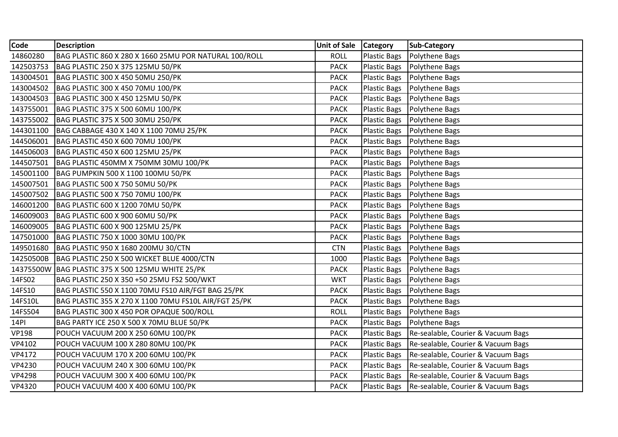| Code          | <b>Description</b>                                     | Unit of Sale   Category |                     | <b>Sub-Category</b>                |
|---------------|--------------------------------------------------------|-------------------------|---------------------|------------------------------------|
| 14860280      | BAG PLASTIC 860 X 280 X 1660 25MU POR NATURAL 100/ROLL | <b>ROLL</b>             | Plastic Bags        | Polythene Bags                     |
| 142503753     | BAG PLASTIC 250 X 375 125MU 50/PK                      | <b>PACK</b>             | <b>Plastic Bags</b> | Polythene Bags                     |
| 143004501     | BAG PLASTIC 300 X 450 50MU 250/PK                      | <b>PACK</b>             | <b>Plastic Bags</b> | Polythene Bags                     |
| 143004502     | BAG PLASTIC 300 X 450 70MU 100/PK                      | <b>PACK</b>             | <b>Plastic Bags</b> | Polythene Bags                     |
| 143004503     | BAG PLASTIC 300 X 450 125MU 50/PK                      | <b>PACK</b>             | <b>Plastic Bags</b> | Polythene Bags                     |
| 143755001     | BAG PLASTIC 375 X 500 60MU 100/PK                      | <b>PACK</b>             | Plastic Bags        | Polythene Bags                     |
| 143755002     | BAG PLASTIC 375 X 500 30MU 250/PK                      | <b>PACK</b>             | <b>Plastic Bags</b> | Polythene Bags                     |
| 144301100     | BAG CABBAGE 430 X 140 X 1100 70MU 25/PK                | <b>PACK</b>             | <b>Plastic Bags</b> | Polythene Bags                     |
| 144506001     | BAG PLASTIC 450 X 600 70MU 100/PK                      | <b>PACK</b>             | <b>Plastic Bags</b> | Polythene Bags                     |
| 144506003     | BAG PLASTIC 450 X 600 125MU 25/PK                      | <b>PACK</b>             | <b>Plastic Bags</b> | Polythene Bags                     |
| 144507501     | BAG PLASTIC 450MM X 750MM 30MU 100/PK                  | <b>PACK</b>             | <b>Plastic Bags</b> | Polythene Bags                     |
| 145001100     | BAG PUMPKIN 500 X 1100 100MU 50/PK                     | <b>PACK</b>             | <b>Plastic Bags</b> | Polythene Bags                     |
| 145007501     | BAG PLASTIC 500 X 750 50MU 50/PK                       | <b>PACK</b>             | <b>Plastic Bags</b> | Polythene Bags                     |
| 145007502     | BAG PLASTIC 500 X 750 70MU 100/PK                      | <b>PACK</b>             | <b>Plastic Bags</b> | Polythene Bags                     |
| 146001200     | BAG PLASTIC 600 X 1200 70MU 50/PK                      | <b>PACK</b>             | Plastic Bags        | Polythene Bags                     |
| 146009003     | BAG PLASTIC 600 X 900 60MU 50/PK                       | <b>PACK</b>             | Plastic Bags        | Polythene Bags                     |
| 146009005     | BAG PLASTIC 600 X 900 125MU 25/PK                      | <b>PACK</b>             | Plastic Bags        | Polythene Bags                     |
| 147501000     | BAG PLASTIC 750 X 1000 30MU 100/PK                     | <b>PACK</b>             | <b>Plastic Bags</b> | Polythene Bags                     |
| 149501680     | BAG PLASTIC 950 X 1680 200MU 30/CTN                    | <b>CTN</b>              | Plastic Bags        | Polythene Bags                     |
| 14250500B     | BAG PLASTIC 250 X 500 WICKET BLUE 4000/CTN             | 1000                    | <b>Plastic Bags</b> | Polythene Bags                     |
| 14375500W     | BAG PLASTIC 375 X 500 125MU WHITE 25/PK                | <b>PACK</b>             | <b>Plastic Bags</b> | Polythene Bags                     |
| 14FS02        | BAG PLASTIC 250 X 350 +50 25MU FS2 500/WKT             | <b>WKT</b>              | <b>Plastic Bags</b> | Polythene Bags                     |
| 14FS10        | BAG PLASTIC 550 X 1100 70MU FS10 AIR/FGT BAG 25/PK     | <b>PACK</b>             | <b>Plastic Bags</b> | Polythene Bags                     |
| 14FS10L       | BAG PLASTIC 355 X 270 X 1100 70MU FS10L AIR/FGT 25/PK  | <b>PACK</b>             | <b>Plastic Bags</b> | Polythene Bags                     |
| 14FS504       | BAG PLASTIC 300 X 450 POR OPAQUE 500/ROLL              | <b>ROLL</b>             | <b>Plastic Bags</b> | Polythene Bags                     |
| 14PI          | BAG PARTY ICE 250 X 500 X 70MU BLUE 50/PK              | <b>PACK</b>             | <b>Plastic Bags</b> | Polythene Bags                     |
| <b>VP198</b>  | POUCH VACUUM 200 X 250 60MU 100/PK                     | <b>PACK</b>             | <b>Plastic Bags</b> | Re-sealable, Courier & Vacuum Bags |
| VP4102        | POUCH VACUUM 100 X 280 80MU 100/PK                     | <b>PACK</b>             | <b>Plastic Bags</b> | Re-sealable, Courier & Vacuum Bags |
| VP4172        | POUCH VACUUM 170 X 200 60MU 100/PK                     | <b>PACK</b>             | <b>Plastic Bags</b> | Re-sealable, Courier & Vacuum Bags |
| <b>VP4230</b> | POUCH VACUUM 240 X 300 60MU 100/PK                     | <b>PACK</b>             | Plastic Bags        | Re-sealable, Courier & Vacuum Bags |
| <b>VP4298</b> | POUCH VACUUM 300 X 400 60MU 100/PK                     | <b>PACK</b>             | <b>Plastic Bags</b> | Re-sealable, Courier & Vacuum Bags |
| <b>VP4320</b> | POUCH VACUUM 400 X 400 60MU 100/PK                     | <b>PACK</b>             | Plastic Bags        | Re-sealable, Courier & Vacuum Bags |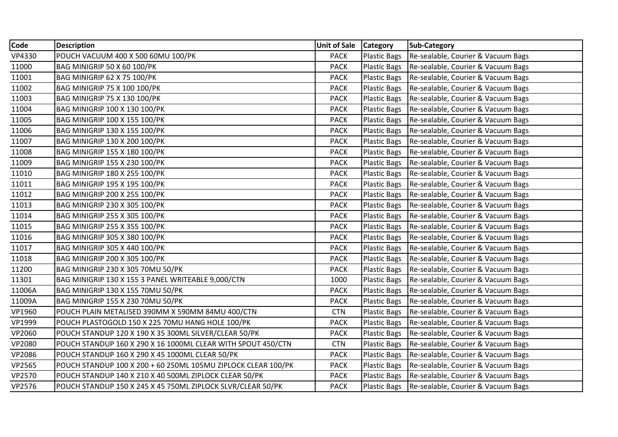| Code          | <b>Description</b>                                            | Unit of Sale   Category |                     | <b>Sub-Category</b>                |
|---------------|---------------------------------------------------------------|-------------------------|---------------------|------------------------------------|
| VP4330        | POUCH VACUUM 400 X 500 60MU 100/PK                            | <b>PACK</b>             | Plastic Bags        | Re-sealable, Courier & Vacuum Bags |
| 11000         | BAG MINIGRIP 50 X 60 100/PK                                   | <b>PACK</b>             | <b>Plastic Bags</b> | Re-sealable, Courier & Vacuum Bags |
| 11001         | BAG MINIGRIP 62 X 75 100/PK                                   | <b>PACK</b>             | <b>Plastic Bags</b> | Re-sealable, Courier & Vacuum Bags |
| 11002         | <b>BAG MINIGRIP 75 X 100 100/PK</b>                           | <b>PACK</b>             | <b>Plastic Bags</b> | Re-sealable, Courier & Vacuum Bags |
| 11003         | <b>BAG MINIGRIP 75 X 130 100/PK</b>                           | <b>PACK</b>             | <b>Plastic Bags</b> | Re-sealable, Courier & Vacuum Bags |
| 11004         | <b>BAG MINIGRIP 100 X 130 100/PK</b>                          | <b>PACK</b>             | <b>Plastic Bags</b> | Re-sealable, Courier & Vacuum Bags |
| 11005         | <b>BAG MINIGRIP 100 X 155 100/PK</b>                          | <b>PACK</b>             | <b>Plastic Bags</b> | Re-sealable, Courier & Vacuum Bags |
| 11006         | <b>BAG MINIGRIP 130 X 155 100/PK</b>                          | <b>PACK</b>             | Plastic Bags        | Re-sealable, Courier & Vacuum Bags |
| 11007         | BAG MINIGRIP 130 X 200 100/PK                                 | <b>PACK</b>             | <b>Plastic Bags</b> | Re-sealable, Courier & Vacuum Bags |
| 11008         | BAG MINIGRIP 155 X 180 100/PK                                 | <b>PACK</b>             | Plastic Bags        | Re-sealable, Courier & Vacuum Bags |
| 11009         | BAG MINIGRIP 155 X 230 100/PK                                 | <b>PACK</b>             | <b>Plastic Bags</b> | Re-sealable, Courier & Vacuum Bags |
| 11010         | <b>BAG MINIGRIP 180 X 255 100/PK</b>                          | <b>PACK</b>             | <b>Plastic Bags</b> | Re-sealable, Courier & Vacuum Bags |
| 11011         | BAG MINIGRIP 195 X 195 100/PK                                 | <b>PACK</b>             | <b>Plastic Bags</b> | Re-sealable, Courier & Vacuum Bags |
| 11012         | BAG MINIGRIP 200 X 255 100/PK                                 | <b>PACK</b>             | <b>Plastic Bags</b> | Re-sealable, Courier & Vacuum Bags |
| 11013         | BAG MINIGRIP 230 X 305 100/PK                                 | <b>PACK</b>             | <b>Plastic Bags</b> | Re-sealable, Courier & Vacuum Bags |
| 11014         | BAG MINIGRIP 255 X 305 100/PK                                 | <b>PACK</b>             | Plastic Bags        | Re-sealable, Courier & Vacuum Bags |
| 11015         | BAG MINIGRIP 255 X 355 100/PK                                 | <b>PACK</b>             | Plastic Bags        | Re-sealable, Courier & Vacuum Bags |
| 11016         | BAG MINIGRIP 305 X 380 100/PK                                 | <b>PACK</b>             | <b>Plastic Bags</b> | Re-sealable, Courier & Vacuum Bags |
| 11017         | BAG MINIGRIP 305 X 440 100/PK                                 | <b>PACK</b>             | <b>Plastic Bags</b> | Re-sealable, Courier & Vacuum Bags |
| 11018         | <b>BAG MINIGRIP 200 X 305 100/PK</b>                          | <b>PACK</b>             | <b>Plastic Bags</b> | Re-sealable, Courier & Vacuum Bags |
| 11200         | BAG MINIGRIP 230 X 305 70MU 50/PK                             | <b>PACK</b>             | Plastic Bags        | Re-sealable, Courier & Vacuum Bags |
| 11301         | BAG MINIGRIP 130 X 155 3 PANEL WRITEABLE 9,000/CTN            | 1000                    | <b>Plastic Bags</b> | Re-sealable, Courier & Vacuum Bags |
| 11006A        | BAG MINIGRIP 130 X 155 70MU 50/PK                             | <b>PACK</b>             | <b>Plastic Bags</b> | Re-sealable, Courier & Vacuum Bags |
| 11009A        | BAG MINIGRIP 155 X 230 70MU 50/PK                             | <b>PACK</b>             | <b>Plastic Bags</b> | Re-sealable, Courier & Vacuum Bags |
| VP1960        | POUCH PLAIN METALISED 390MM X 590MM 84MU 400/CTN              | <b>CTN</b>              | <b>Plastic Bags</b> | Re-sealable, Courier & Vacuum Bags |
| VP1999        | POUCH PLASTOGOLD 150 X 225 70MU HANG HOLE 100/PK              | <b>PACK</b>             | <b>Plastic Bags</b> | Re-sealable, Courier & Vacuum Bags |
| VP2060        | POUCH STANDUP 120 X 190 X 35 300ML SILVER/CLEAR 50/PK         | <b>PACK</b>             | <b>Plastic Bags</b> | Re-sealable, Courier & Vacuum Bags |
| <b>VP2080</b> | POUCH STANDUP 160 X 290 X 16 1000ML CLEAR WITH SPOUT 450/CTN  | <b>CTN</b>              | Plastic Bags        | Re-sealable, Courier & Vacuum Bags |
| VP2086        | POUCH STANDUP 160 X 290 X 45 1000ML CLEAR 50/PK               | <b>PACK</b>             | <b>Plastic Bags</b> | Re-sealable, Courier & Vacuum Bags |
| <b>VP2565</b> | POUCH STANDUP 100 X 200 + 60 250ML 105MU ZIPLOCK CLEAR 100/PK | <b>PACK</b>             | Plastic Bags        | Re-sealable, Courier & Vacuum Bags |
| VP2570        | POUCH STANDUP 140 X 210 X 40 500ML ZIPLOCK CLEAR 50/PK        | <b>PACK</b>             | Plastic Bags        | Re-sealable, Courier & Vacuum Bags |
| VP2576        | POUCH STANDUP 150 X 245 X 45 750ML ZIPLOCK SLVR/CLEAR 50/PK   | <b>PACK</b>             | <b>Plastic Bags</b> | Re-sealable, Courier & Vacuum Bags |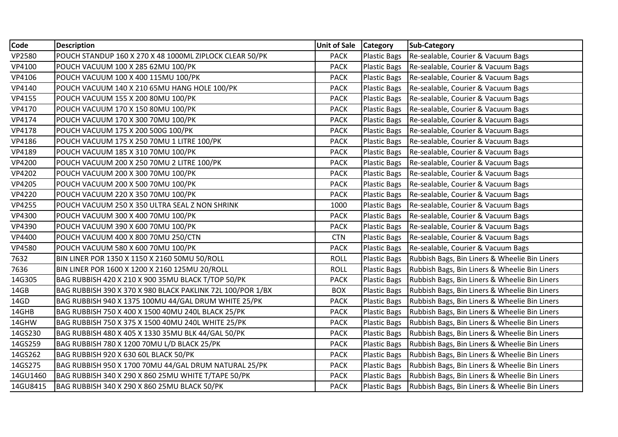| Code          | <b>Description</b>                                         | Unit of Sale   Category |                     | Sub-Category                                  |
|---------------|------------------------------------------------------------|-------------------------|---------------------|-----------------------------------------------|
| <b>VP2580</b> | POUCH STANDUP 160 X 270 X 48 1000ML ZIPLOCK CLEAR 50/PK    | <b>PACK</b>             | <b>Plastic Bags</b> | Re-sealable, Courier & Vacuum Bags            |
| VP4100        | POUCH VACUUM 100 X 285 62MU 100/PK                         | <b>PACK</b>             | Plastic Bags        | Re-sealable, Courier & Vacuum Bags            |
| VP4106        | POUCH VACUUM 100 X 400 115MU 100/PK                        | <b>PACK</b>             | <b>Plastic Bags</b> | Re-sealable, Courier & Vacuum Bags            |
| VP4140        | POUCH VACUUM 140 X 210 65MU HANG HOLE 100/PK               | <b>PACK</b>             | <b>Plastic Bags</b> | Re-sealable, Courier & Vacuum Bags            |
| VP4155        | POUCH VACUUM 155 X 200 80MU 100/PK                         | <b>PACK</b>             | <b>Plastic Bags</b> | Re-sealable, Courier & Vacuum Bags            |
| VP4170        | POUCH VACUUM 170 X 150 80MU 100/PK                         | <b>PACK</b>             | <b>Plastic Bags</b> | Re-sealable, Courier & Vacuum Bags            |
| VP4174        | POUCH VACUUM 170 X 300 70MU 100/PK                         | <b>PACK</b>             | <b>Plastic Bags</b> | Re-sealable, Courier & Vacuum Bags            |
| <b>VP4178</b> | POUCH VACUUM 175 X 200 500G 100/PK                         | <b>PACK</b>             | <b>Plastic Bags</b> | Re-sealable, Courier & Vacuum Bags            |
| VP4186        | POUCH VACUUM 175 X 250 70MU 1 LITRE 100/PK                 | <b>PACK</b>             | Plastic Bags        | Re-sealable, Courier & Vacuum Bags            |
| VP4189        | POUCH VACUUM 185 X 310 70MU 100/PK                         | <b>PACK</b>             | <b>Plastic Bags</b> | Re-sealable, Courier & Vacuum Bags            |
| <b>VP4200</b> | POUCH VACUUM 200 X 250 70MU 2 LITRE 100/PK                 | <b>PACK</b>             | <b>Plastic Bags</b> | Re-sealable, Courier & Vacuum Bags            |
| <b>VP4202</b> | POUCH VACUUM 200 X 300 70MU 100/PK                         | <b>PACK</b>             | <b>Plastic Bags</b> | Re-sealable, Courier & Vacuum Bags            |
| VP4205        | POUCH VACUUM 200 X 500 70MU 100/PK                         | <b>PACK</b>             | Plastic Bags        | Re-sealable, Courier & Vacuum Bags            |
| <b>VP4220</b> | POUCH VACUUM 220 X 350 70MU 100/PK                         | <b>PACK</b>             | <b>Plastic Bags</b> | Re-sealable, Courier & Vacuum Bags            |
| <b>VP4255</b> | POUCH VACUUM 250 X 350 ULTRA SEAL Z NON SHRINK             | 1000                    | <b>Plastic Bags</b> | Re-sealable, Courier & Vacuum Bags            |
| VP4300        | POUCH VACUUM 300 X 400 70MU 100/PK                         | <b>PACK</b>             | Plastic Bags        | Re-sealable, Courier & Vacuum Bags            |
| VP4390        | POUCH VACUUM 390 X 600 70MU 100/PK                         | <b>PACK</b>             | <b>Plastic Bags</b> | Re-sealable, Courier & Vacuum Bags            |
| VP4400        | POUCH VACUUM 400 X 800 70MU 250/CTN                        | <b>CTN</b>              | <b>Plastic Bags</b> | Re-sealable, Courier & Vacuum Bags            |
| VP4580        | POUCH VACUUM 580 X 600 70MU 100/PK                         | <b>PACK</b>             | Plastic Bags        | Re-sealable, Courier & Vacuum Bags            |
| 7632          | BIN LINER POR 1350 X 1150 X 2160 50MU 50/ROLL              | <b>ROLL</b>             | <b>Plastic Bags</b> | Rubbish Bags, Bin Liners & Wheelie Bin Liners |
| 7636          | BIN LINER POR 1600 X 1200 X 2160 125MU 20/ROLL             | <b>ROLL</b>             | Plastic Bags        | Rubbish Bags, Bin Liners & Wheelie Bin Liners |
| 14G305        | BAG RUBBISH 420 X 210 X 900 35MU BLACK T/TOP 50/PK         | <b>PACK</b>             | <b>Plastic Bags</b> | Rubbish Bags, Bin Liners & Wheelie Bin Liners |
| 14GB          | BAG RUBBISH 390 X 370 X 980 BLACK PAKLINK 72L 100/POR 1/BX | <b>BOX</b>              | <b>Plastic Bags</b> | Rubbish Bags, Bin Liners & Wheelie Bin Liners |
| 14GD          | BAG RUBBISH 940 X 1375 100MU 44/GAL DRUM WHITE 25/PK       | <b>PACK</b>             | <b>Plastic Bags</b> | Rubbish Bags, Bin Liners & Wheelie Bin Liners |
| 14GHB         | BAG RUBBISH 750 X 400 X 1500 40MU 240L BLACK 25/PK         | <b>PACK</b>             | <b>Plastic Bags</b> | Rubbish Bags, Bin Liners & Wheelie Bin Liners |
| 14GHW         | BAG RUBBISH 750 X 375 X 1500 40MU 240L WHITE 25/PK         | <b>PACK</b>             | <b>Plastic Bags</b> | Rubbish Bags, Bin Liners & Wheelie Bin Liners |
| 14GS230       | BAG RUBBISH 480 X 405 X 1330 35MU BLK 44/GAL 50/PK         | <b>PACK</b>             | <b>Plastic Bags</b> | Rubbish Bags, Bin Liners & Wheelie Bin Liners |
| 14GS259       | BAG RUBBISH 780 X 1200 70MU L/D BLACK 25/PK                | <b>PACK</b>             | Plastic Bags        | Rubbish Bags, Bin Liners & Wheelie Bin Liners |
| 14GS262       | BAG RUBBISH 920 X 630 60L BLACK 50/PK                      | <b>PACK</b>             | <b>Plastic Bags</b> | Rubbish Bags, Bin Liners & Wheelie Bin Liners |
| 14GS275       | BAG RUBBISH 950 X 1700 70MU 44/GAL DRUM NATURAL 25/PK      | <b>PACK</b>             | <b>Plastic Bags</b> | Rubbish Bags, Bin Liners & Wheelie Bin Liners |
| 14GU1460      | BAG RUBBISH 340 X 290 X 860 25MU WHITE T/TAPE 50/PK        | <b>PACK</b>             | <b>Plastic Bags</b> | Rubbish Bags, Bin Liners & Wheelie Bin Liners |
| 14GU8415      | BAG RUBBISH 340 X 290 X 860 25MU BLACK 50/PK               | <b>PACK</b>             | Plastic Bags        | Rubbish Bags, Bin Liners & Wheelie Bin Liners |